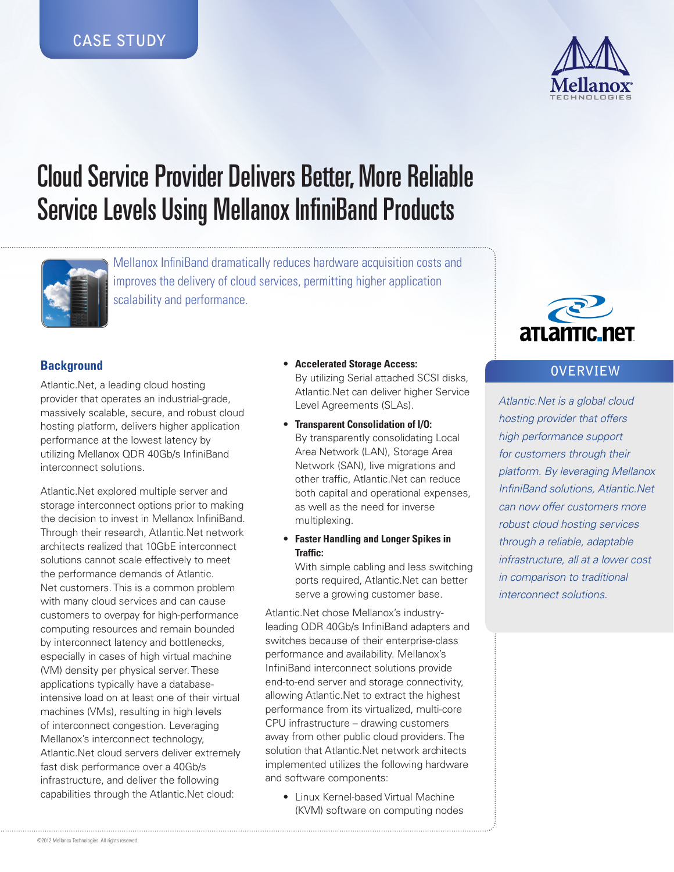

# Cloud Service Provider Delivers Better, More Reliable Service Levels Using Mellanox InfiniBand Products



Mellanox InfiniBand dramatically reduces hardware acquisition costs and improves the delivery of cloud services, permitting higher application scalability and performance.

# **Background**

Atlantic.Net, a leading cloud hosting provider that operates an industrial-grade, massively scalable, secure, and robust cloud hosting platform, delivers higher application performance at the lowest latency by utilizing Mellanox QDR 40Gb/s InfiniBand interconnect solutions.

Atlantic.Net explored multiple server and storage interconnect options prior to making the decision to invest in Mellanox InfiniBand. Through their research, Atlantic.Net network architects realized that 10GbE interconnect solutions cannot scale effectively to meet the performance demands of Atlantic. Net customers. This is a common problem with many cloud services and can cause customers to overpay for high-performance computing resources and remain bounded by interconnect latency and bottlenecks, especially in cases of high virtual machine (VM) density per physical server. These applications typically have a databaseintensive load on at least one of their virtual machines (VMs), resulting in high levels of interconnect congestion. Leveraging Mellanox's interconnect technology, Atlantic.Net cloud servers deliver extremely fast disk performance over a 40Gb/s infrastructure, and deliver the following capabilities through the Atlantic.Net cloud:

- • **Accelerated Storage Access:**  By utilizing Serial attached SCSI disks, Atlantic.Net can deliver higher Service Level Agreements (SLAs).
- • **Transparent Consolidation of I/O:** By transparently consolidating Local Area Network (LAN), Storage Area Network (SAN), live migrations and other traffic, Atlantic.Net can reduce both capital and operational expenses, as well as the need for inverse multiplexing.
- • **Faster Handling and Longer Spikes in Traffic:**

With simple cabling and less switching ports required, Atlantic.Net can better serve a growing customer base.

Atlantic.Net chose Mellanox's industryleading QDR 40Gb/s InfiniBand adapters and switches because of their enterprise-class performance and availability. Mellanox's InfiniBand interconnect solutions provide end-to-end server and storage connectivity, allowing Atlantic.Net to extract the highest performance from its virtualized, multi-core CPU infrastructure – drawing customers away from other public cloud providers. The solution that Atlantic.Net network architects implemented utilizes the following hardware and software components:

• Linux Kernel-based Virtual Machine (KVM) software on computing nodes



# **OVERVIEW**

*Atlantic.Net is a global cloud hosting provider that offers high performance support for customers through their platform. By leveraging Mellanox InfiniBand solutions, Atlantic.Net can now offer customers more robust cloud hosting services through a reliable, adaptable infrastructure, all at a lower cost in comparison to traditional interconnect solutions.*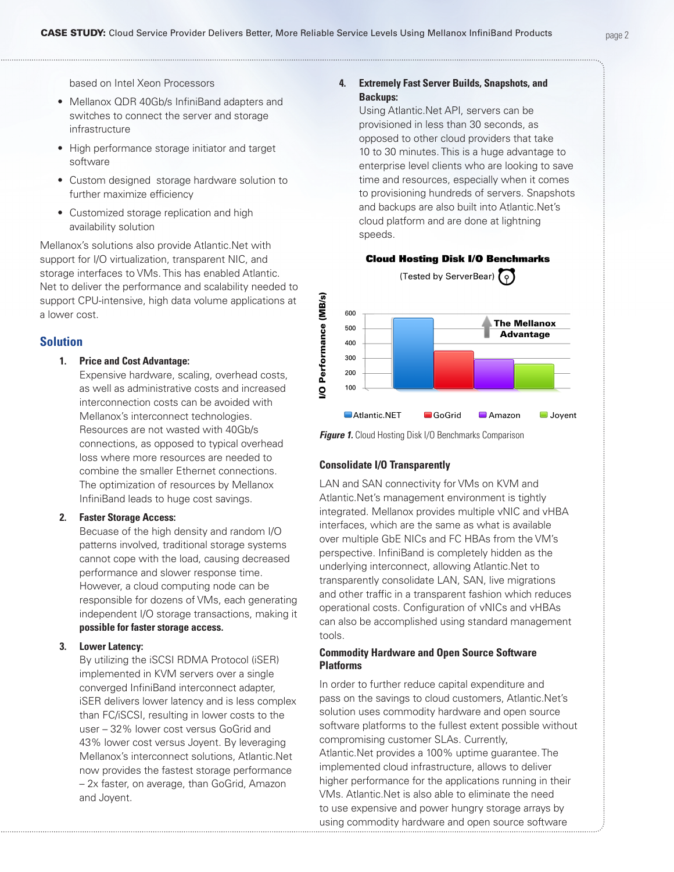based on Intel Xeon Processors

- • Mellanox QDR 40Gb/s InfiniBand adapters and switches to connect the server and storage infrastructure
- High performance storage initiator and target software
- Custom designed storage hardware solution to further maximize efficiency
- Customized storage replication and high availability solution

Mellanox's solutions also provide Atlantic.Net with support for I/O virtualization, transparent NIC, and storage interfaces to VMs. This has enabled Atlantic. Net to deliver the performance and scalability needed to support CPU-intensive, high data volume applications at a lower cost.

## **Solution**

#### **1. Price and Cost Advantage:**

Expensive hardware, scaling, overhead costs, as well as administrative costs and increased interconnection costs can be avoided with Mellanox's interconnect technologies. Resources are not wasted with 40Gb/s connections, as opposed to typical overhead loss where more resources are needed to combine the smaller Ethernet connections. The optimization of resources by Mellanox InfiniBand leads to huge cost savings.

#### **2. Faster Storage Access:**

Becuase of the high density and random I/O patterns involved, traditional storage systems cannot cope with the load, causing decreased performance and slower response time. However, a cloud computing node can be responsible for dozens of VMs, each generating independent I/O storage transactions, making it **possible for faster storage access.**

#### **3. Lower Latency:**

By utilizing the iSCSI RDMA Protocol (iSER) implemented in KVM servers over a single converged InfiniBand interconnect adapter, iSER delivers lower latency and is less complex than FC/iSCSI, resulting in lower costs to the user – 32% lower cost versus GoGrid and 43% lower cost versus Joyent. By leveraging Mellanox's interconnect solutions, Atlantic.Net now provides the fastest storage performance – 2x faster, on average, than GoGrid, Amazon and Joyent.

## **4. Extremely Fast Server Builds, Snapshots, and Backups:**

Using Atlantic.Net API, servers can be provisioned in less than 30 seconds, as opposed to other cloud providers that take 10 to 30 minutes. This is a huge advantage to enterprise level clients who are looking to save time and resources, especially when it comes to provisioning hundreds of servers. Snapshots and backups are also built into Atlantic.Net's cloud platform and are done at lightning speeds.



**Figure 1.** Cloud Hosting Disk I/O Benchmarks Comparison

#### **Consolidate I/O Transparently**

Performance (MB/s)

୧

LAN and SAN connectivity for VMs on KVM and Atlantic.Net's management environment is tightly integrated. Mellanox provides multiple vNIC and vHBA interfaces, which are the same as what is available over multiple GbE NICs and FC HBAs from the VM's perspective. InfiniBand is completely hidden as the underlying interconnect, allowing Atlantic.Net to transparently consolidate LAN, SAN, live migrations and other traffic in a transparent fashion which reduces operational costs. Configuration of vNICs and vHBAs can also be accomplished using standard management tools.

### **Commodity Hardware and Open Source Software Platforms**

In order to further reduce capital expenditure and pass on the savings to cloud customers, Atlantic.Net's solution uses commodity hardware and open source software platforms to the fullest extent possible without compromising customer SLAs. Currently, Atlantic.Net provides a 100% uptime guarantee. The implemented cloud infrastructure, allows to deliver higher performance for the applications running in their VMs. Atlantic.Net is also able to eliminate the need to use expensive and power hungry storage arrays by using commodity hardware and open source software